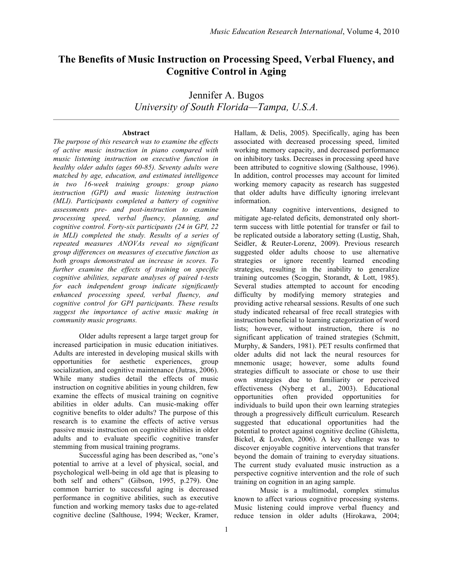# **The Benefits of Music Instruction on Processing Speed, Verbal Fluency, and Cognitive Control in Aging**

Jennifer A. Bugos *University of South Florida—Tampa, U.S.A.*

#### **Abstract**

*The purpose of this research was to examine the effects of active music instruction in piano compared with music listening instruction on executive function in healthy older adults (ages 60-85). Seventy adults were matched by age, education, and estimated intelligence in two 16-week training groups: group piano instruction (GPI) and music listening instruction (MLI). Participants completed a battery of cognitive assessments pre- and post-instruction to examine processing speed, verbal fluency, planning, and cognitive control. Forty-six participants (24 in GPI, 22 in MLI) completed the study. Results of a series of repeated measures ANOVAs reveal no significant group differences on measures of executive function as both groups demonstrated an increase in scores. To further examine the effects of training on specific cognitive abilities, separate analyses of paired t-tests for each independent group indicate significantly enhanced processing speed, verbal fluency, and cognitive control for GPI participants. These results suggest the importance of active music making in community music programs.*

Older adults represent a large target group for increased participation in music education initiatives. Adults are interested in developing musical skills with opportunities for aesthetic experiences, group socialization, and cognitive maintenance (Jutras, 2006). While many studies detail the effects of music instruction on cognitive abilities in young children, few examine the effects of musical training on cognitive abilities in older adults. Can music-making offer cognitive benefits to older adults? The purpose of this research is to examine the effects of active versus passive music instruction on cognitive abilities in older adults and to evaluate specific cognitive transfer stemming from musical training programs.

Successful aging has been described as, "one's potential to arrive at a level of physical, social, and psychological well-being in old age that is pleasing to both self and others" (Gibson, 1995, p.279). One common barrier to successful aging is decreased performance in cognitive abilities, such as executive function and working memory tasks due to age-related cognitive decline (Salthouse, 1994; Wecker, Kramer, Hallam, & Delis, 2005). Specifically, aging has been associated with decreased processing speed, limited working memory capacity, and decreased performance on inhibitory tasks. Decreases in processing speed have been attributed to cognitive slowing (Salthouse, 1996). In addition, control processes may account for limited working memory capacity as research has suggested that older adults have difficulty ignoring irrelevant information.

Many cognitive interventions, designed to mitigate age-related deficits, demonstrated only shortterm success with little potential for transfer or fail to be replicated outside a laboratory setting (Lustig, Shah, Seidler, & Reuter-Lorenz, 2009). Previous research suggested older adults choose to use alternative strategies or ignore recently learned encoding strategies, resulting in the inability to generalize training outcomes (Scoggin, Storandt, & Lott, 1985). Several studies attempted to account for encoding difficulty by modifying memory strategies and providing active rehearsal sessions. Results of one such study indicated rehearsal of free recall strategies with instruction beneficial to learning categorization of word lists; however, without instruction, there is no significant application of trained strategies (Schmitt, Murphy, & Sanders, 1981). PET results confirmed that older adults did not lack the neural resources for mnemonic usage; however, some adults found strategies difficult to associate or chose to use their own strategies due to familiarity or perceived effectiveness (Nyberg et al., 2003). Educational opportunities often provided opportunities for individuals to build upon their own learning strategies through a progressively difficult curriculum. Research suggested that educational opportunities had the potential to protect against cognitive decline (Ghisletta, Bickel, & Lovden, 2006). A key challenge was to discover enjoyable cognitive interventions that transfer beyond the domain of training to everyday situations. The current study evaluated music instruction as a perspective cognitive intervention and the role of such training on cognition in an aging sample.

Music is a multimodal, complex stimulus known to affect various cognitive processing systems. Music listening could improve verbal fluency and reduce tension in older adults (Hirokawa, 2004;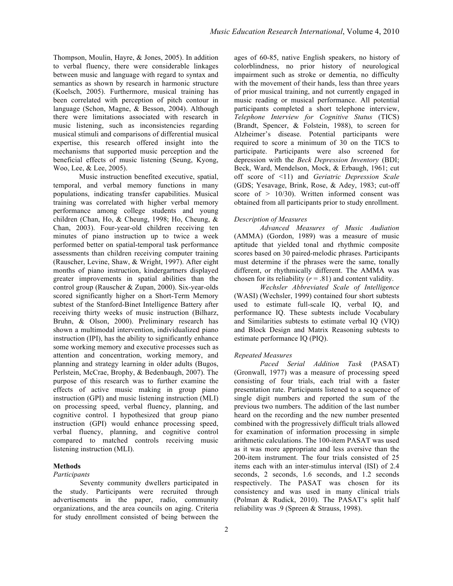Thompson, Moulin, Hayre, & Jones, 2005). In addition to verbal fluency, there were considerable linkages between music and language with regard to syntax and semantics as shown by research in harmonic structure (Koelsch, 2005). Furthermore, musical training has been correlated with perception of pitch contour in language (Schon, Magne, & Besson, 2004). Although there were limitations associated with research in music listening, such as inconsistencies regarding musical stimuli and comparisons of differential musical expertise, this research offered insight into the mechanisms that supported music perception and the beneficial effects of music listening (Seung, Kyong, Woo, Lee, & Lee, 2005).

Music instruction benefited executive, spatial, temporal, and verbal memory functions in many populations, indicating transfer capabilities. Musical training was correlated with higher verbal memory performance among college students and young children (Chan, Ho, & Cheung, 1998; Ho, Cheung, & Chan, 2003). Four-year-old children receiving ten minutes of piano instruction up to twice a week performed better on spatial-temporal task performance assessments than children receiving computer training (Rauscher, Levine, Shaw, & Wright, 1997). After eight months of piano instruction, kindergartners displayed greater improvements in spatial abilities than the control group (Rauscher & Zupan, 2000). Six-year-olds scored significantly higher on a Short-Term Memory subtest of the Stanford-Binet Intelligence Battery after receiving thirty weeks of music instruction (Bilharz, Bruhn, & Olson, 2000). Preliminary research has shown a multimodal intervention, individualized piano instruction (IPI), has the ability to significantly enhance some working memory and executive processes such as attention and concentration, working memory, and planning and strategy learning in older adults (Bugos, Perlstein, McCrae, Brophy, & Bedenbaugh, 2007). The purpose of this research was to further examine the effects of active music making in group piano instruction (GPI) and music listening instruction (MLI) on processing speed, verbal fluency, planning, and cognitive control. I hypothesized that group piano instruction (GPI) would enhance processing speed, verbal fluency, planning, and cognitive control compared to matched controls receiving music listening instruction (MLI).

## **Methods**

## *Participants*

Seventy community dwellers participated in the study. Participants were recruited through advertisements in the paper, radio, community organizations, and the area councils on aging. Criteria for study enrollment consisted of being between the

ages of 60-85, native English speakers, no history of colorblindness, no prior history of neurological impairment such as stroke or dementia, no difficulty with the movement of their hands, less than three years of prior musical training, and not currently engaged in music reading or musical performance. All potential participants completed a short telephone interview, *Telephone Interview for Cognitive Status* (TICS) (Brandt, Spencer, & Folstein, 1988), to screen for Alzheimer's disease. Potential participants were required to score a minimum of 30 on the TICS to participate. Participants were also screened for depression with the *Beck Depression Inventory* (BDI; Beck, Ward, Mendelson, Mock, & Erbaugh, 1961; cut off score of <11) and *Geriatric Depression Scale* (GDS; Yesavage, Brink, Rose, & Adey, 1983; cut-off score of  $> 10/30$ . Written informed consent was obtained from all participants prior to study enrollment.

## *Description of Measures*

*Advanced Measures of Music Audiation*  (AMMA) (Gordon, 1989) was a measure of music aptitude that yielded tonal and rhythmic composite scores based on 30 paired-melodic phrases. Participants must determine if the phrases were the same, tonally different, or rhythmically different. The AMMA was chosen for its reliability  $(r = .81)$  and content validity.

*Wechsler Abbreviated Scale of Intelligence*  (WASI) (Wechsler, 1999) contained four short subtests used to estimate full-scale IQ, verbal IQ, and performance IQ. These subtests include Vocabulary and Similarities subtests to estimate verbal IQ (VIQ) and Block Design and Matrix Reasoning subtests to estimate performance IQ (PIQ).

#### *Repeated Measures*

*Paced Serial Addition Task* (PASAT) (Gronwall, 1977) was a measure of processing speed consisting of four trials, each trial with a faster presentation rate. Participants listened to a sequence of single digit numbers and reported the sum of the previous two numbers. The addition of the last number heard on the recording and the new number presented combined with the progressively difficult trials allowed for examination of information processing in simple arithmetic calculations. The 100-item PASAT was used as it was more appropriate and less aversive than the 200-item instrument. The four trials consisted of 25 items each with an inter-stimulus interval (ISI) of 2.4 seconds, 2 seconds, 1.6 seconds, and 1.2 seconds respectively. The PASAT was chosen for its consistency and was used in many clinical trials (Polman & Rudick, 2010). The PASAT's split half reliability was .9 (Spreen & Strauss, 1998).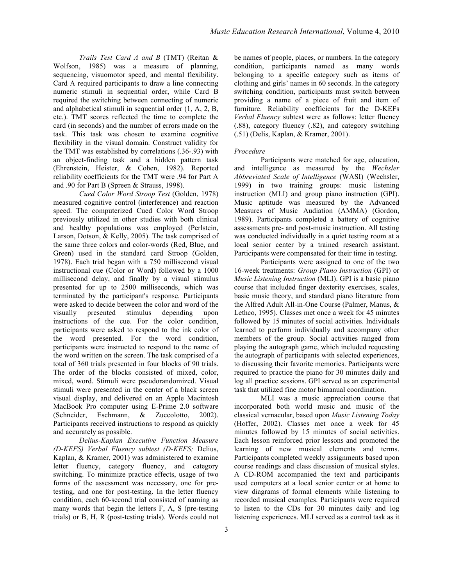*Trails Test Card A and B* (TMT) (Reitan & Wolfson, 1985) was a measure of planning, sequencing, visuomotor speed, and mental flexibility. Card A required participants to draw a line connecting numeric stimuli in sequential order, while Card B required the switching between connecting of numeric and alphabetical stimuli in sequential order (1, A, 2, B, etc.). TMT scores reflected the time to complete the card (in seconds) and the number of errors made on the task. This task was chosen to examine cognitive flexibility in the visual domain. Construct validity for the TMT was established by correlations (.36-.93) with an object-finding task and a hidden pattern task (Ehrenstein, Heister, & Cohen, 1982). Reported reliability coefficients for the TMT were .94 for Part A and .90 for Part B (Spreen & Strauss, 1998).

*Cued Color Word Stroop Test* (Golden, 1978) measured cognitive control (interference) and reaction speed. The computerized Cued Color Word Stroop previously utilized in other studies with both clinical and healthy populations was employed (Perlstein, Larson, Dotson, & Kelly, 2005). The task comprised of the same three colors and color-words (Red, Blue, and Green) used in the standard card Stroop (Golden, 1978). Each trial began with a 750 millisecond visual instructional cue (Color or Word) followed by a 1000 millisecond delay, and finally by a visual stimulus presented for up to 2500 milliseconds, which was terminated by the participant's response. Participants were asked to decide between the color and word of the visually presented stimulus depending upon instructions of the cue. For the color condition, participants were asked to respond to the ink color of the word presented. For the word condition, participants were instructed to respond to the name of the word written on the screen. The task comprised of a total of 360 trials presented in four blocks of 90 trials. The order of the blocks consisted of mixed, color, mixed, word. Stimuli were pseudorandomized. Visual stimuli were presented in the center of a black screen visual display, and delivered on an Apple Macintosh MacBook Pro computer using E-Prime 2.0 software (Schneider, Eschmann, & Zuccolotto, 2002). Participants received instructions to respond as quickly and accurately as possible.

*Delius-Kaplan Executive Function Measure (D-KEFS) Verbal Fluency subtest (D-KEFS;* Delius, Kaplan, & Kramer, 2001) was administered to examine letter fluency, category fluency, and category switching. To minimize practice effects, usage of two forms of the assessment was necessary, one for pretesting, and one for post-testing. In the letter fluency condition, each 60-second trial consisted of naming as many words that begin the letters F, A, S (pre-testing trials) or B, H, R (post-testing trials). Words could not be names of people, places, or numbers. In the category condition, participants named as many words belonging to a specific category such as items of clothing and girls' names in 60 seconds. In the category switching condition, participants must switch between providing a name of a piece of fruit and item of furniture. Reliability coefficients for the D-KEFs *Verbal Fluency* subtest were as follows: letter fluency (.88), category fluency (.82), and category switching (.51) (Delis, Kaplan, & Kramer, 2001).

## *Procedure*

Participants were matched for age, education, and intelligence as measured by the *Wechsler Abbreviated Scale of Intelligence* (WASI) (Wechsler, 1999) in two training groups: music listening instruction (MLI) and group piano instruction (GPI). Music aptitude was measured by the Advanced Measures of Music Audiation (AMMA) (Gordon, 1989). Participants completed a battery of cognitive assessments pre- and post-music instruction. All testing was conducted individually in a quiet testing room at a local senior center by a trained research assistant. Participants were compensated for their time in testing.

Participants were assigned to one of the two 16-week treatments: *Group Piano Instruction* (GPI) or *Music Listening Instruction* (MLI). GPI is a basic piano course that included finger dexterity exercises, scales, basic music theory, and standard piano literature from the Alfred Adult All-in-One Course (Palmer, Manus, & Lethco, 1995). Classes met once a week for 45 minutes followed by 15 minutes of social activities. Individuals learned to perform individually and accompany other members of the group. Social activities ranged from playing the autograph game, which included requesting the autograph of participants with selected experiences, to discussing their favorite memories. Participants were required to practice the piano for 30 minutes daily and log all practice sessions. GPI served as an experimental task that utilized fine motor bimanual coordination.

MLI was a music appreciation course that incorporated both world music and music of the classical vernacular, based upon *Music Listening Today* (Hoffer, 2002). Classes met once a week for 45 minutes followed by 15 minutes of social activities. Each lesson reinforced prior lessons and promoted the learning of new musical elements and terms. Participants completed weekly assignments based upon course readings and class discussion of musical styles. A CD-ROM accompanied the text and participants used computers at a local senior center or at home to view diagrams of formal elements while listening to recorded musical examples. Participants were required to listen to the CDs for 30 minutes daily and log listening experiences. MLI served as a control task as it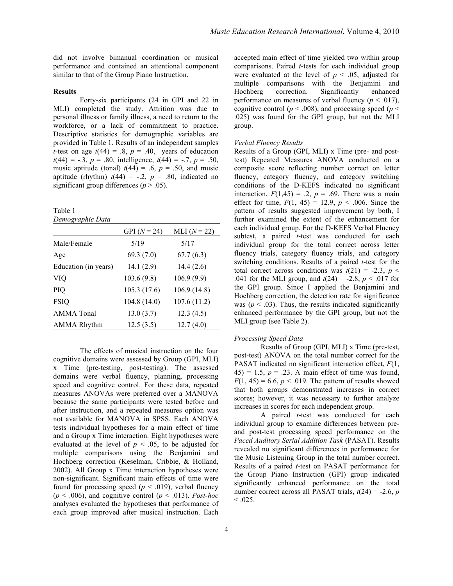did not involve bimanual coordination or musical performance and contained an attentional component similar to that of the Group Piano Instruction.

#### **Results**

Forty-six participants (24 in GPI and 22 in MLI) completed the study. Attrition was due to personal illness or family illness, a need to return to the workforce, or a lack of commitment to practice. Descriptive statistics for demographic variables are provided in Table 1. Results of an independent samples *t*-test on age  $t(44) = .8$ ,  $p = .40$ , years of education  $t(44) = -.3$ ,  $p = .80$ , intelligence,  $t(44) = -.7$ ,  $p = .50$ , music aptitude (tonal)  $t(44) = .6$ ,  $p = .50$ , and music aptitude (rhythm)  $t(44) = -.2$ ,  $p = .80$ , indicated no significant group differences ( $p > .05$ ).

Table 1 *Demographic Data*

|                      | GPI $(N = 24)$ | MLI $(N = 22)$ |
|----------------------|----------------|----------------|
| Male/Female          | 5/19           | 5/17           |
| Age                  | 69.3(7.0)      | 67.7(6.3)      |
| Education (in years) | 14.1(2.9)      | 14.4(2.6)      |
| VIO                  | 103.6(9.8)     | 106.9(9.9)     |
| <b>PIO</b>           | 105.3 (17.6)   | 106.9(14.8)    |
| <b>FSIQ</b>          | 104.8 (14.0)   | 107.6(11.2)    |
| <b>AMMA</b> Tonal    | 13.0(3.7)      | 12.3(4.5)      |
| <b>AMMA Rhythm</b>   | 12.5(3.5)      | 12.7(4.0)      |

The effects of musical instruction on the four cognitive domains were assessed by Group (GPI, MLI) x Time (pre-testing, post-testing). The assessed domains were verbal fluency, planning, processing speed and cognitive control. For these data, repeated measures ANOVAs were preferred over a MANOVA because the same participants were tested before and after instruction, and a repeated measures option was not available for MANOVA in SPSS. Each ANOVA tests individual hypotheses for a main effect of time and a Group x Time interaction. Eight hypotheses were evaluated at the level of  $p < .05$ , to be adjusted for multiple comparisons using the Benjamini and Hochberg correction (Keselman, Cribbie, & Holland, 2002). All Group x Time interaction hypotheses were non-significant. Significant main effects of time were found for processing speed ( $p < .019$ ), verbal fluency  $(p < .006)$ , and cognitive control  $(p < .013)$ . *Post-hoc* analyses evaluated the hypotheses that performance of each group improved after musical instruction. Each

accepted main effect of time yielded two within group comparisons. Paired *t*-tests for each individual group were evaluated at the level of  $p < .05$ , adjusted for multiple comparisons with the Benjamini and Hochberg correction. Significantly enhanced performance on measures of verbal fluency  $(p < .017)$ , cognitive control ( $p < .008$ ), and processing speed ( $p <$ .025) was found for the GPI group, but not the MLI group.

#### *Verbal Fluency Results*

Results of a Group (GPI, MLI) x Time (pre- and posttest) Repeated Measures ANOVA conducted on a composite score reflecting number correct on letter fluency, category fluency, and category switching conditions of the D-KEFS indicated no significant interaction,  $F(1,45) = .2$ ,  $p = .69$ . There was a main effect for time,  $F(1, 45) = 12.9$ ,  $p < .006$ . Since the pattern of results suggested improvement by both, I further examined the extent of the enhancement for each individual group. For the D-KEFS Verbal Fluency subtest, a paired *t*-test was conducted for each individual group for the total correct across letter fluency trials, category fluency trials, and category switching conditions. Results of a paired *t*-test for the total correct across conditions was  $t(21) = -2.3$ ,  $p <$ .041 for the MLI group, and *t*(24) = -2.8, *p* < .017 for the GPI group. Since I applied the Benjamini and Hochberg correction, the detection rate for significance was ( $p < .03$ ). Thus, the results indicated significantly enhanced performance by the GPI group, but not the MLI group (see Table 2).

#### *Processing Speed Data*

Results of Group (GPI, MLI) x Time (pre-test, post-test) ANOVA on the total number correct for the PASAT indicated no significant interaction effect, *F*(1,  $(45) = 1.5$ ,  $p = .23$ . A main effect of time was found,  $F(1, 45) = 6.6$ ,  $p < .019$ . The pattern of results showed that both groups demonstrated increases in correct scores; however, it was necessary to further analyze increases in scores for each independent group.

A paired *t*-test was conducted for each individual group to examine differences between preand post-test processing speed performance on the *Paced Auditory Serial Addition Task* (PASAT). Results revealed no significant differences in performance for the Music Listening Group in the total number correct. Results of a paired *t*-test on PASAT performance for the Group Piano Instruction (GPI) group indicated significantly enhanced performance on the total number correct across all PASAT trials,  $t(24) = -2.6$ , *p*  $< 0.025$ .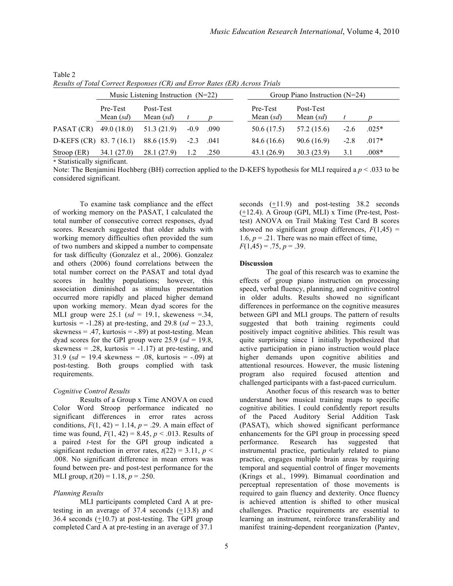|                           | Music Listening Instruction $(N=22)$ |                          |        |      |                         | Group Piano Instruction $(N=24)$ |        |         |  |
|---------------------------|--------------------------------------|--------------------------|--------|------|-------------------------|----------------------------------|--------|---------|--|
|                           | Pre-Test<br>Mean $(sd)$              | Post-Test<br>Mean $(sd)$ |        |      | Pre-Test<br>Mean $(sd)$ | Post-Test<br>Mean $(sd)$         |        |         |  |
| PASAT (CR)                | 49.0 (18.0)                          | 51.3(21.9)               | $-0.9$ | .090 | 50.6 (17.5)             | 57.2 (15.6)                      | $-2.6$ | $.025*$ |  |
| D-KEFS (CR) 83.7 $(16.1)$ |                                      | 88.6 (15.9)              | $-2.3$ | .041 | 84.6 (16.6)             | 90.6(16.9)                       | $-2.8$ | $.017*$ |  |
| Stroop (ER)               | 34.1 (27.0)                          | 28.1 (27.9)              |        | .250 | 43.1(26.9)              | 30.3(23.9)                       | 3.1    | $.008*$ |  |

Table 2 *Results of Total Correct Responses (CR) and Error Rates (ER) Across Trials*

\* Statistically significant.

Note: The Benjamini Hochberg (BH) correction applied to the D-KEFS hypothesis for MLI required a  $p < 0.033$  to be considered significant.

To examine task compliance and the effect of working memory on the PASAT, I calculated the total number of consecutive correct responses, dyad scores. Research suggested that older adults with working memory difficulties often provided the sum of two numbers and skipped a number to compensate for task difficulty (Gonzalez et al., 2006). Gonzalez and others (2006) found correlations between the total number correct on the PASAT and total dyad scores in healthy populations; however, this association diminished as stimulus presentation occurred more rapidly and placed higher demand upon working memory. Mean dyad scores for the MLI group were  $25.1$  ( $sd = 19.1$ , skeweness = 34, kurtosis =  $-1.28$ ) at pre-testing, and 29.8 ( $sd = 23.3$ ), skewness = .47, kurtosis =  $-.89$ ) at post-testing. Mean dyad scores for the GPI group were  $25.9$  ( $sd = 19.8$ , skewness = .28, kurtosis =  $-1.17$ ) at pre-testing, and 31.9 ( $sd = 19.4$  skewness = .08, kurtosis =  $-.09$ ) at post-testing. Both groups complied with task requirements.

## *Cognitive Control Results*

Results of a Group x Time ANOVA on cued Color Word Stroop performance indicated no significant differences in error rates across conditions,  $F(1, 42) = 1.14$ ,  $p = .29$ . A main effect of time was found,  $F(1, 42) = 8.45$ ,  $p < .013$ . Results of a paired *t*-test for the GPI group indicated a significant reduction in error rates,  $t(22) = 3.11$ ,  $p <$ .008. No significant difference in mean errors was found between pre- and post-test performance for the MLI group,  $t(20) = 1.18$ ,  $p = .250$ .

# *Planning Results*

MLI participants completed Card A at pretesting in an average of 37.4 seconds (+13.8) and 36.4 seconds (+10.7) at post-testing. The GPI group completed Card A at pre-testing in an average of 37.1 seconds  $(\pm 11.9)$  and post-testing 38.2 seconds (+12.4). A Group (GPI, MLI) x Time (Pre-test, Posttest) ANOVA on Trail Making Test Card B scores showed no significant group differences,  $F(1,45)$  = 1.6,  $p = 0.21$ . There was no main effect of time,  $F(1,45) = .75, p = .39.$ 

## **Discussion**

The goal of this research was to examine the effects of group piano instruction on processing speed, verbal fluency, planning, and cognitive control in older adults. Results showed no significant differences in performance on the cognitive measures between GPI and MLI groups. The pattern of results suggested that both training regiments could positively impact cognitive abilities. This result was quite surprising since I initially hypothesized that active participation in piano instruction would place higher demands upon cognitive abilities and attentional resources. However, the music listening program also required focused attention and challenged participants with a fast-paced curriculum.

Another focus of this research was to better understand how musical training maps to specific cognitive abilities. I could confidently report results of the Paced Auditory Serial Addition Task (PASAT), which showed significant performance enhancements for the GPI group in processing speed performance. Research has suggested that instrumental practice, particularly related to piano practice, engages multiple brain areas by requiring temporal and sequential control of finger movements (Krings et al., 1999). Bimanual coordination and perceptual representation of those movements is required to gain fluency and dexterity. Once fluency is achieved attention is shifted to other musical challenges. Practice requirements are essential to learning an instrument, reinforce transferability and manifest training-dependent reorganization (Pantev,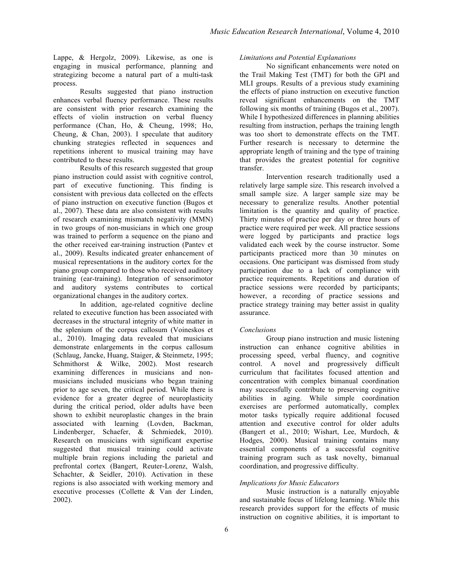Lappe, & Hergolz, 2009). Likewise, as one is engaging in musical performance, planning and strategizing become a natural part of a multi-task process.

Results suggested that piano instruction enhances verbal fluency performance. These results are consistent with prior research examining the effects of violin instruction on verbal fluency performance (Chan, Ho, & Cheung, 1998; Ho, Cheung, & Chan, 2003). I speculate that auditory chunking strategies reflected in sequences and repetitions inherent to musical training may have contributed to these results.

Results of this research suggested that group piano instruction could assist with cognitive control, part of executive functioning. This finding is consistent with previous data collected on the effects of piano instruction on executive function (Bugos et al., 2007). These data are also consistent with results of research examining mismatch negativity (MMN) in two groups of non-musicians in which one group was trained to perform a sequence on the piano and the other received ear-training instruction (Pantev et al., 2009). Results indicated greater enhancement of musical representations in the auditory cortex for the piano group compared to those who received auditory training (ear-training). Integration of sensorimotor and auditory systems contributes to cortical organizational changes in the auditory cortex.

In addition, age-related cognitive decline related to executive function has been associated with decreases in the structural integrity of white matter in the splenium of the corpus callosum (Voineskos et al., 2010). Imaging data revealed that musicians demonstrate enlargements in the corpus callosum (Schlaug, Jancke, Huang, Staiger, & Steinmetz, 1995; Schmithorst & Wilke, 2002). Most research examining differences in musicians and nonmusicians included musicians who began training prior to age seven, the critical period. While there is evidence for a greater degree of neuroplasticity during the critical period, older adults have been shown to exhibit neuroplastic changes in the brain associated with learning (Lovden, Backman, Lindenberger, Schaefer, & Schmiedek, 2010). Research on musicians with significant expertise suggested that musical training could activate multiple brain regions including the parietal and prefrontal cortex (Bangert, Reuter-Lorenz, Walsh, Schachter, & Seidler, 2010). Activation in these regions is also associated with working memory and executive processes (Collette & Van der Linden, 2002).

# *Limitations and Potential Explanations*

No significant enhancements were noted on the Trail Making Test (TMT) for both the GPI and MLI groups. Results of a previous study examining the effects of piano instruction on executive function reveal significant enhancements on the TMT following six months of training (Bugos et al., 2007). While I hypothesized differences in planning abilities resulting from instruction, perhaps the training length was too short to demonstrate effects on the TMT. Further research is necessary to determine the appropriate length of training and the type of training that provides the greatest potential for cognitive transfer.

Intervention research traditionally used a relatively large sample size. This research involved a small sample size. A larger sample size may be necessary to generalize results. Another potential limitation is the quantity and quality of practice. Thirty minutes of practice per day or three hours of practice were required per week. All practice sessions were logged by participants and practice logs validated each week by the course instructor. Some participants practiced more than 30 minutes on occasions. One participant was dismissed from study participation due to a lack of compliance with practice requirements. Repetitions and duration of practice sessions were recorded by participants; however, a recording of practice sessions and practice strategy training may better assist in quality assurance.

## *Conclusions*

Group piano instruction and music listening instruction can enhance cognitive abilities in processing speed, verbal fluency, and cognitive control. A novel and progressively difficult curriculum that facilitates focused attention and concentration with complex bimanual coordination may successfully contribute to preserving cognitive abilities in aging. While simple coordination exercises are performed automatically, complex motor tasks typically require additional focused attention and executive control for older adults (Bangert et al., 2010; Wishart, Lee, Murdoch, & Hodges, 2000). Musical training contains many essential components of a successful cognitive training program such as task novelty, bimanual coordination, and progressive difficulty.

# *Implications for Music Educators*

Music instruction is a naturally enjoyable and sustainable focus of lifelong learning. While this research provides support for the effects of music instruction on cognitive abilities, it is important to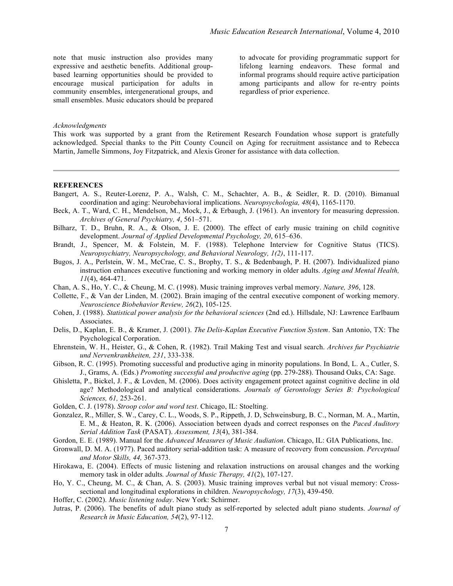note that music instruction also provides many expressive and aesthetic benefits. Additional groupbased learning opportunities should be provided to encourage musical participation for adults in community ensembles, intergenerational groups, and small ensembles. Music educators should be prepared to advocate for providing programmatic support for lifelong learning endeavors. These formal and informal programs should require active participation among participants and allow for re-entry points regardless of prior experience.

#### *Acknowledgments*

This work was supported by a grant from the Retirement Research Foundation whose support is gratefully acknowledged. Special thanks to the Pitt County Council on Aging for recruitment assistance and to Rebecca Martin, Jamelle Simmons, Joy Fitzpatrick, and Alexis Groner for assistance with data collection.

#### **REFERENCES**

- Bangert, A. S., Reuter-Lorenz, P. A., Walsh, C. M., Schachter, A. B., & Seidler, R. D. (2010). Bimanual coordination and aging: Neurobehavioral implications. *Neuropsychologia, 48*(4), 1165-1170.
- Beck, A. T., Ward, C. H., Mendelson, M., Mock, J., & Erbaugh, J. (1961). An inventory for measuring depression. *Archives of General Psychiatry, 4*, 561–571.
- Bilharz, T. D., Bruhn, R. A., & Olson, J. E. (2000). The effect of early music training on child cognitive development. *Journal of Applied Developmental Psychology, 20*, 615–636.
- Brandt, J., Spencer, M. & Folstein, M. F. (1988). Telephone Interview for Cognitive Status (TICS). *Neuropsychiatry, Neuropsychology, and Behavioral Neurology, 1(2)*, 111-117.
- Bugos, J. A., Perlstein, W. M., McCrae, C. S., Brophy, T. S., & Bedenbaugh, P. H. (2007). Individualized piano instruction enhances executive functioning and working memory in older adults. *Aging and Mental Health, 11*(4), 464-471.
- Chan, A. S., Ho, Y. C., & Cheung, M. C. (1998). Music training improves verbal memory. *Nature, 396*, 128.
- Collette, F., & Van der Linden, M. (2002). Brain imaging of the central executive component of working memory. *Neuroscience Biobehavior Review, 26*(2), 105-125.
- Cohen, J. (1988). *Statistical power analysis for the behavioral sciences* (2nd ed.). Hillsdale, NJ: Lawrence Earlbaum Associates.
- Delis, D., Kaplan, E. B., & Kramer, J. (2001). *The Delis-Kaplan Executive Function System*. San Antonio, TX: The Psychological Corporation.
- Ehrenstein, W. H., Heister, G., & Cohen, R. (1982). Trail Making Test and visual search. *Archives fur Psychiatrie und Nervenkrankheiten, 231*, 333-338.
- Gibson, R. C. (1995). Promoting successful and productive aging in minority populations. In Bond, L. A., Cutler, S. J., Grams, A. (Eds.) *Promoting successful and productive aging* (pp. 279-288). Thousand Oaks, CA: Sage.
- Ghisletta, P., Bickel, J. F., & Lovden, M. (2006). Does activity engagement protect against cognitive decline in old age? Methodological and analytical considerations. *Journals of Gerontology Series B: Psychological Sciences, 61,* 253-261.
- Golden, C. J. (1978). *Stroop color and word test*. Chicago, IL: Stoelting.
- Gonzalez, R., Miller, S. W., Carey, C. L., Woods, S. P., Rippeth, J. D, Schweinsburg, B. C., Norman, M. A., Martin, E. M., & Heaton, R. K. (2006). Association between dyads and correct responses on the *Paced Auditory Serial Addition Task* (PASAT). *Assessment, 13*(4), 381-384.
- Gordon, E. E. (1989). Manual for the *Advanced Measures of Music Audiation*. Chicago, IL: GIA Publications, Inc.
- Gronwall, D. M. A. (1977). Paced auditory serial-addition task: A measure of recovery from concussion. *Perceptual and Motor Skills, 44,* 367-373.
- Hirokawa, E. (2004). Effects of music listening and relaxation instructions on arousal changes and the working memory task in older adults*. Journal of Music Therapy, 41*(2), 107-127.
- Ho, Y. C., Cheung, M. C., & Chan, A. S. (2003). Music training improves verbal but not visual memory: Crosssectional and longitudinal explorations in children. *Neuropsychology, 17*(3), 439-450.
- Hoffer, C. (2002). *Music listening today*. New York: Schirmer.
- Jutras, P. (2006). The benefits of adult piano study as self-reported by selected adult piano students. *Journal of Research in Music Education, 54*(2), 97-112.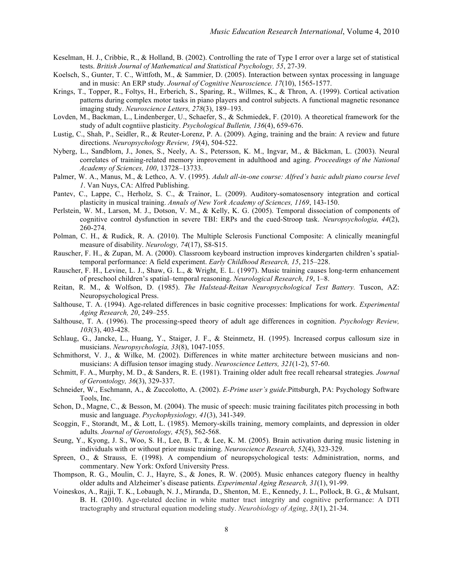- Keselman, H. J., Cribbie, R., & Holland, B. (2002). Controlling the rate of Type I error over a large set of statistical tests. *British Journal of Mathematical and Statistical Psychology, 55*, 27-39.
- Koelsch, S., Gunter, T. C., Wittfoth, M., & Sammier, D. (2005). Interaction between syntax processing in language and in music: An ERP study. *Journal of Cognitive Neuroscience. 17*(10), 1565-1577.
- Krings, T., Topper, R., Foltys, H., Erberich, S., Sparing, R., Willmes, K., & Thron, A. (1999). Cortical activation patterns during complex motor tasks in piano players and control subjects. A functional magnetic resonance imaging study. *Neuroscience Letters, 278*(3), 189–193.
- Lovden, M., Backman, L., Lindenberger, U., Schaefer, S., & Schmiedek, F. (2010). A theoretical framework for the study of adult cogntiive plasticity. *Psychological Bulletin, 136*(4), 659-676.
- Lustig, C., Shah, P., Seidler, R., & Reuter-Lorenz, P. A. (2009). Aging, training and the brain: A review and future directions. *Neuropsychology Review, 19*(4), 504-522.
- Nyberg, L., Sandblom, J., Jones, S., Neely, A. S., Petersson, K. M., Ingvar, M., & Bäckman, L. (2003). Neural correlates of training-related memory improvement in adulthood and aging. *Proceedings of the National Academy of Sciences, 100*, 13728–13733.
- Palmer, W. A., Manus, M., & Lethco, A. V. (1995). *Adult all-in-one course: Alfred's basic adult piano course level 1*. Van Nuys, CA: Alfred Publishing.
- Pantev, C., Lappe, C., Herholz, S. C., & Trainor, L. (2009). Auditory-somatosensory integration and cortical plasticity in musical training. *Annals of New York Academy of Sciences, 1169*, 143-150.
- Perlstein, W. M., Larson, M. J., Dotson, V. M., & Kelly, K. G. (2005). Temporal dissociation of components of cognitive control dysfunction in severe TBI: ERPs and the cued-Stroop task. *Neuropsychologia, 44*(2), 260-274.
- Polman, C. H., & Rudick, R. A. (2010). The Multiple Sclerosis Functional Composite: A clinically meaningful measure of disability. *Neurology, 74*(17), S8-S15.
- Rauscher, F. H., & Zupan, M. A. (2000). Classroom keyboard instruction improves kindergarten children's spatialtemporal performance: A field experiment. *Early Childhood Research, 15*, 215–228.
- Rauscher, F. H., Levine, L. J., Shaw, G. L., & Wright, E. L. (1997). Music training causes long-term enhancement of preschool children's spatial–temporal reasoning. *Neurological Research, 19*, 1–8.
- Reitan, R. M., & Wolfson, D. (1985). *The Halstead-Reitan Neuropsychological Test Battery.* Tuscon, AZ: Neuropsychological Press.
- Salthouse, T. A. (1994). Age-related differences in basic cognitive processes: Implications for work. *Experimental Aging Research, 20*, 249–255.
- Salthouse, T. A. (1996). The processing-speed theory of adult age differences in cognition. *Psychology Review, 103*(3), 403-428.
- Schlaug, G., Jancke, L., Huang, Y., Staiger, J. F., & Steinmetz, H. (1995). Increased corpus callosum size in musicians. *Neuropsychologia, 33*(8), 1047-1055.
- Schmithorst, V. J., & Wilke, M. (2002). Differences in white matter architecture between musicians and nonmusicians: A diffusion tensor imaging study. *Neuroscience Letters, 321*(1-2), 57-60.
- Schmitt, F. A., Murphy, M. D., & Sanders, R. E. (1981). Training older adult free recall rehearsal strategies*. Journal of Gerontology, 36*(3), 329-337.
- Schneider, W., Eschmann, A., & Zuccolotto, A. (2002). *E-Prime user's guide*.Pittsburgh, PA: Psychology Software Tools, Inc.
- Schon, D., Magne, C., & Besson, M. (2004). The music of speech: music training facilitates pitch processing in both music and language. *Psychophysiology, 41*(3), 341-349.
- Scoggin, F., Storandt, M., & Lott, L. (1985). Memory-skills training, memory complaints, and depression in older adults*. Journal of Gerontology, 45*(5), 562-568.
- Seung, Y., Kyong, J. S., Woo, S. H., Lee, B. T., & Lee, K. M. (2005). Brain activation during music listening in individuals with or without prior music training. *Neuroscience Research, 52*(4), 323-329.
- Spreen, O., & Strauss, E. (1998). A compendium of neuropsychological tests: Administration, norms, and commentary. New York: Oxford University Press.
- Thompson, R. G., Moulin, C. J., Hayre, S., & Jones, R. W. (2005). Music enhances category fluency in healthy older adults and Alzheimer's disease patients. *Experimental Aging Research, 31*(1), 91-99.
- Voineskos, A., Rajji, T. K., Lobaugh, N. J., Miranda, D., Shenton, M. E., Kennedy, J. L., Pollock, B. G., & Mulsant, B. H. (2010). Age-related decline in white matter tract integrity and cognitive performance: A DTI tractography and structural equation modeling study. *Neurobiology of Aging*, *33*(1), 21-34.